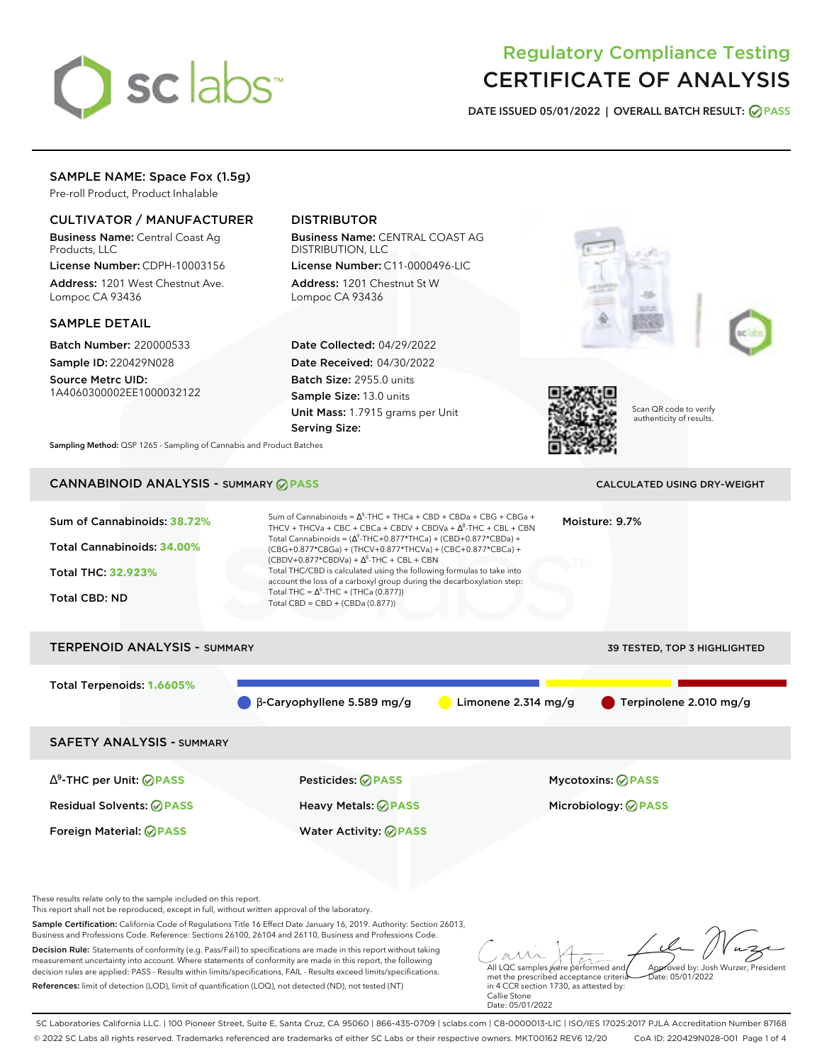

# Regulatory Compliance Testing CERTIFICATE OF ANALYSIS

**DATE ISSUED 05/01/2022 | OVERALL BATCH RESULT: PASS**

## SAMPLE NAME: Space Fox (1.5g)

Pre-roll Product, Product Inhalable

## CULTIVATOR / MANUFACTURER

Business Name: Central Coast Ag Products, LLC

License Number: CDPH-10003156 Address: 1201 West Chestnut Ave. Lompoc CA 93436

#### SAMPLE DETAIL

Batch Number: 220000533 Sample ID: 220429N028

Source Metrc UID: 1A4060300002EE1000032122

# DISTRIBUTOR

Business Name: CENTRAL COAST AG DISTRIBUTION, LLC License Number: C11-0000496-LIC

Address: 1201 Chestnut St W Lompoc CA 93436

Date Collected: 04/29/2022 Date Received: 04/30/2022 Batch Size: 2955.0 units Sample Size: 13.0 units Unit Mass: 1.7915 grams per Unit Serving Size:





Scan QR code to verify authenticity of results.

**Sampling Method:** QSP 1265 - Sampling of Cannabis and Product Batches

# CANNABINOID ANALYSIS - SUMMARY **PASS** CALCULATED USING DRY-WEIGHT

| Sum of Cannabinoids: 38.72%<br>Total Cannabinoids: 34.00%<br>Total THC: 32.923%<br><b>Total CBD: ND</b> | Sum of Cannabinoids = $\Delta^9$ -THC + THCa + CBD + CBDa + CBG + CBGa +<br>Moisture: 9.7%<br>THCV + THCVa + CBC + CBCa + CBDV + CBDVa + $\Delta^8$ -THC + CBL + CBN<br>Total Cannabinoids = $(\Delta^9$ -THC+0.877*THCa) + (CBD+0.877*CBDa) +<br>(CBG+0.877*CBGa) + (THCV+0.877*THCVa) + (CBC+0.877*CBCa) +<br>$(CBDV+0.877*CBDVa) + \Delta^8$ -THC + CBL + CBN<br>Total THC/CBD is calculated using the following formulas to take into<br>account the loss of a carboxyl group during the decarboxylation step:<br>Total THC = $\Delta^9$ -THC + (THCa (0.877))<br>Total CBD = CBD + (CBDa (0.877)) |                       |                              |  |  |  |
|---------------------------------------------------------------------------------------------------------|--------------------------------------------------------------------------------------------------------------------------------------------------------------------------------------------------------------------------------------------------------------------------------------------------------------------------------------------------------------------------------------------------------------------------------------------------------------------------------------------------------------------------------------------------------------------------------------------------------|-----------------------|------------------------------|--|--|--|
| <b>TERPENOID ANALYSIS - SUMMARY</b>                                                                     |                                                                                                                                                                                                                                                                                                                                                                                                                                                                                                                                                                                                        |                       | 39 TESTED, TOP 3 HIGHLIGHTED |  |  |  |
| Total Terpenoids: 1.6605%                                                                               | $\beta$ -Caryophyllene 5.589 mg/g                                                                                                                                                                                                                                                                                                                                                                                                                                                                                                                                                                      | Limonene $2.314$ mg/g | Terpinolene 2.010 mg/g       |  |  |  |
| <b>SAFETY ANALYSIS - SUMMARY</b>                                                                        |                                                                                                                                                                                                                                                                                                                                                                                                                                                                                                                                                                                                        |                       |                              |  |  |  |
| $\Delta^9$ -THC per Unit: $\oslash$ PASS                                                                | Pesticides: ⊘PASS                                                                                                                                                                                                                                                                                                                                                                                                                                                                                                                                                                                      |                       | <b>Mycotoxins: ⊘PASS</b>     |  |  |  |
| <b>Residual Solvents: ⊘PASS</b>                                                                         | Heavy Metals: ⊘PASS                                                                                                                                                                                                                                                                                                                                                                                                                                                                                                                                                                                    |                       | Microbiology: <b>⊘PASS</b>   |  |  |  |
| Foreign Material: <b>⊘ PASS</b>                                                                         | <b>Water Activity: ⊘PASS</b>                                                                                                                                                                                                                                                                                                                                                                                                                                                                                                                                                                           |                       |                              |  |  |  |

These results relate only to the sample included on this report.

This report shall not be reproduced, except in full, without written approval of the laboratory.

Sample Certification: California Code of Regulations Title 16 Effect Date January 16, 2019. Authority: Section 26013, Business and Professions Code. Reference: Sections 26100, 26104 and 26110, Business and Professions Code.

Decision Rule: Statements of conformity (e.g. Pass/Fail) to specifications are made in this report without taking measurement uncertainty into account. Where statements of conformity are made in this report, the following decision rules are applied: PASS - Results within limits/specifications, FAIL - Results exceed limits/specifications. References: limit of detection (LOD), limit of quantification (LOQ), not detected (ND), not tested (NT)

All LQC samples were performed and met the prescribed acceptance criteria Approved by: Josh Wurzer, President Date: 05/01/2022

in 4 CCR section 1730, as attested by: Callie Stone Date: 05/01/2022

SC Laboratories California LLC. | 100 Pioneer Street, Suite E, Santa Cruz, CA 95060 | 866-435-0709 | sclabs.com | C8-0000013-LIC | ISO/IES 17025:2017 PJLA Accreditation Number 87168 © 2022 SC Labs all rights reserved. Trademarks referenced are trademarks of either SC Labs or their respective owners. MKT00162 REV6 12/20 CoA ID: 220429N028-001 Page 1 of 4